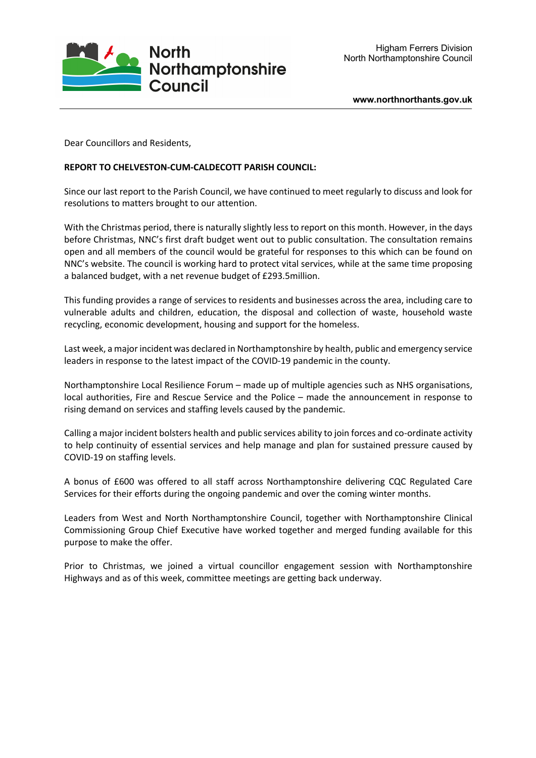

Dear Councillors and Residents,

## **REPORT TO CHELVESTON-CUM-CALDECOTT PARISH COUNCIL:**

Since our last report to the Parish Council, we have continued to meet regularly to discuss and look for resolutions to matters brought to our attention.

With the Christmas period, there is naturally slightly less to report on this month. However, in the days before Christmas, NNC's first draft budget went out to public consultation. The consultation remains open and all members of the council would be grateful for responses to this which can be found on NNC's website. The council is working hard to protect vital services, while at the same time proposing a balanced budget, with a net revenue budget of £293.5million.

This funding provides a range of services to residents and businesses across the area, including care to vulnerable adults and children, education, the disposal and collection of waste, household waste recycling, economic development, housing and support for the homeless.

Last week, a major incident was declared in Northamptonshire by health, public and emergency service leaders in response to the latest impact of the COVID-19 pandemic in the county.

Northamptonshire Local Resilience Forum – made up of multiple agencies such as NHS organisations, local authorities, Fire and Rescue Service and the Police – made the announcement in response to rising demand on services and staffing levels caused by the pandemic.

Calling a major incident bolsters health and public services ability to join forces and co-ordinate activity to help continuity of essential services and help manage and plan for sustained pressure caused by COVID-19 on staffing levels.

A bonus of £600 was offered to all staff across Northamptonshire delivering CQC Regulated Care Services for their efforts during the ongoing pandemic and over the coming winter months.

Leaders from West and North Northamptonshire Council, together with Northamptonshire Clinical Commissioning Group Chief Executive have worked together and merged funding available for this purpose to make the offer.

Prior to Christmas, we joined a virtual councillor engagement session with Northamptonshire Highways and as of this week, committee meetings are getting back underway.